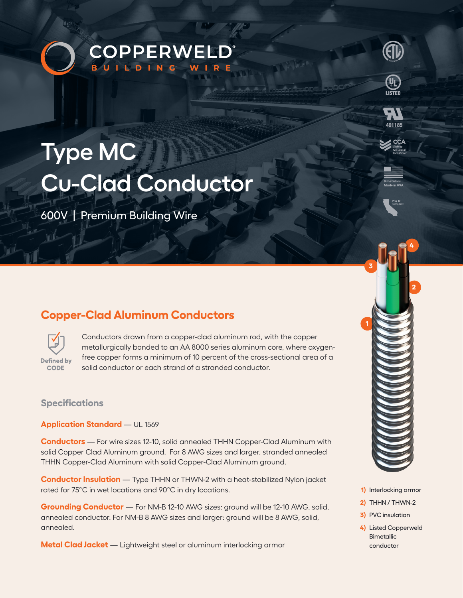



600V | Premium Building Wire

# **Copper-Clad Aluminum Conductors**



Conductors drawn from a copper-clad aluminum rod, with the copper metallurgically bonded to an AA 8000 series aluminum core, where oxygenfree copper forms a minimum of 10 percent of the cross-sectional area of a solid conductor or each strand of a stranded conductor.

## **Specifications**

**Application Standard** — UL 1569

**Conductors** — For wire sizes 12-10, solid annealed THHN Copper-Clad Aluminum with solid Copper Clad Aluminum ground. For 8 AWG sizes and larger, stranded annealed THHN Copper-Clad Aluminum with solid Copper-Clad Aluminum ground.

**Conductor Insulation** — Type THHN or THWN-2 with a heat-stabilized Nylon jacket rated for 75°C in wet locations and 90°C in dry locations.

**Grounding Conductor** — For NM-B 12-10 AWG sizes: ground will be 12-10 AWG, solid, annealed conductor. For NM-B 8 AWG sizes and larger: ground will be 8 AWG, solid, annealed.

**Metal Clad Jacket** — Lightweight steel or aluminum interlocking armor



491185

- **1)** Interlocking armor
- **2)** THHN / THWN-2
- **3)** PVC insulation
- **4)** Listed Copperweld Bimetallic conductor